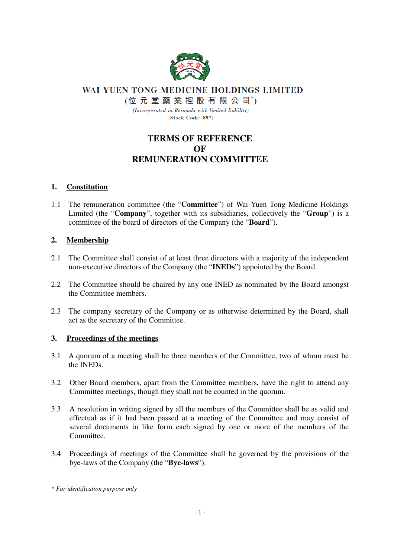

WAI YUEN TONG MEDICINE HOLDINGS LIMITED

(位元堂藥業控股有限公司\*)

(Incorporated in Bermuda with limited liability) (Stock Code: 897)

# **TERMS OF REFERENCE OF REMUNERATION COMMITTEE**

## **1. Constitution**

1.1 The remuneration committee (the "**Committee**") of Wai Yuen Tong Medicine Holdings Limited (the "**Company**", together with its subsidiaries, collectively the "**Group**") is a committee of the board of directors of the Company (the "**Board**").

## **2. Membership**

- 2.1 The Committee shall consist of at least three directors with a majority of the independent non-executive directors of the Company (the "**INEDs**") appointed by the Board.
- 2.2 The Committee should be chaired by any one INED as nominated by the Board amongst the Committee members.
- 2.3 The company secretary of the Company or as otherwise determined by the Board, shall act as the secretary of the Committee.

#### **3. Proceedings of the meetings**

- 3.1 A quorum of a meeting shall be three members of the Committee, two of whom must be the INEDs.
- 3.2 Other Board members, apart from the Committee members, have the right to attend any Committee meetings, though they shall not be counted in the quorum.
- 3.3 A resolution in writing signed by all the members of the Committee shall be as valid and effectual as if it had been passed at a meeting of the Committee and may consist of several documents in like form each signed by one or more of the members of the Committee.
- 3.4 Proceedings of meetings of the Committee shall be governed by the provisions of the bye-laws of the Company (the "**Bye-laws**").

*<sup>\*</sup> For identification purpose only*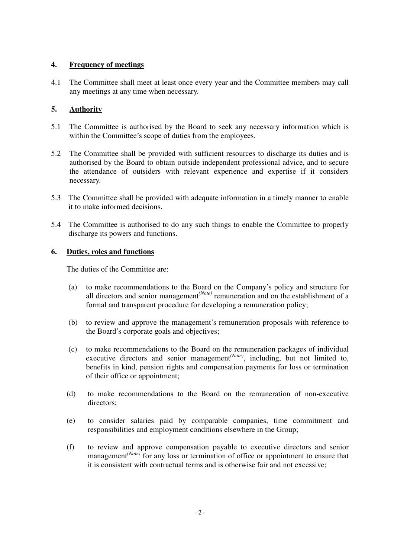## **4. Frequency of meetings**

4.1 The Committee shall meet at least once every year and the Committee members may call any meetings at any time when necessary.

## **5. Authority**

- 5.1 The Committee is authorised by the Board to seek any necessary information which is within the Committee's scope of duties from the employees.
- 5.2 The Committee shall be provided with sufficient resources to discharge its duties and is authorised by the Board to obtain outside independent professional advice, and to secure the attendance of outsiders with relevant experience and expertise if it considers necessary.
- 5.3 The Committee shall be provided with adequate information in a timely manner to enable it to make informed decisions.
- 5.4 The Committee is authorised to do any such things to enable the Committee to properly discharge its powers and functions.

#### **6. Duties, roles and functions**

The duties of the Committee are:

- (a) to make recommendations to the Board on the Company's policy and structure for all directors and senior management*(Note)* remuneration and on the establishment of a formal and transparent procedure for developing a remuneration policy;
- (b) to review and approve the management's remuneration proposals with reference to the Board's corporate goals and objectives;
- (c) to make recommendations to the Board on the remuneration packages of individual executive directors and senior management*(Note)*, including, but not limited to, benefits in kind, pension rights and compensation payments for loss or termination of their office or appointment;
- (d) to make recommendations to the Board on the remuneration of non-executive directors;
- (e) to consider salaries paid by comparable companies, time commitment and responsibilities and employment conditions elsewhere in the Group;
- (f) to review and approve compensation payable to executive directors and senior management<sup>(Note)</sup> for any loss or termination of office or appointment to ensure that it is consistent with contractual terms and is otherwise fair and not excessive;